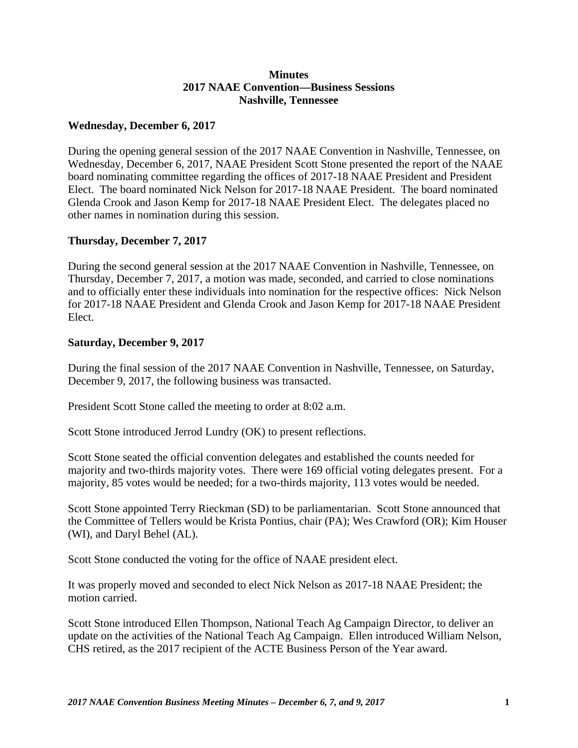## **Minutes 2017 NAAE Convention—Business Sessions Nashville, Tennessee**

## **Wednesday, December 6, 2017**

During the opening general session of the 2017 NAAE Convention in Nashville, Tennessee, on Wednesday, December 6, 2017, NAAE President Scott Stone presented the report of the NAAE board nominating committee regarding the offices of 2017-18 NAAE President and President Elect. The board nominated Nick Nelson for 2017-18 NAAE President. The board nominated Glenda Crook and Jason Kemp for 2017-18 NAAE President Elect. The delegates placed no other names in nomination during this session.

## **Thursday, December 7, 2017**

During the second general session at the 2017 NAAE Convention in Nashville, Tennessee, on Thursday, December 7, 2017, a motion was made, seconded, and carried to close nominations and to officially enter these individuals into nomination for the respective offices: Nick Nelson for 2017-18 NAAE President and Glenda Crook and Jason Kemp for 2017-18 NAAE President Elect.

## **Saturday, December 9, 2017**

During the final session of the 2017 NAAE Convention in Nashville, Tennessee, on Saturday, December 9, 2017, the following business was transacted.

President Scott Stone called the meeting to order at 8:02 a.m.

Scott Stone introduced Jerrod Lundry (OK) to present reflections.

Scott Stone seated the official convention delegates and established the counts needed for majority and two-thirds majority votes. There were 169 official voting delegates present. For a majority, 85 votes would be needed; for a two-thirds majority, 113 votes would be needed.

Scott Stone appointed Terry Rieckman (SD) to be parliamentarian. Scott Stone announced that the Committee of Tellers would be Krista Pontius, chair (PA); Wes Crawford (OR); Kim Houser (WI), and Daryl Behel (AL).

Scott Stone conducted the voting for the office of NAAE president elect.

It was properly moved and seconded to elect Nick Nelson as 2017-18 NAAE President; the motion carried.

Scott Stone introduced Ellen Thompson, National Teach Ag Campaign Director, to deliver an update on the activities of the National Teach Ag Campaign. Ellen introduced William Nelson, CHS retired, as the 2017 recipient of the ACTE Business Person of the Year award.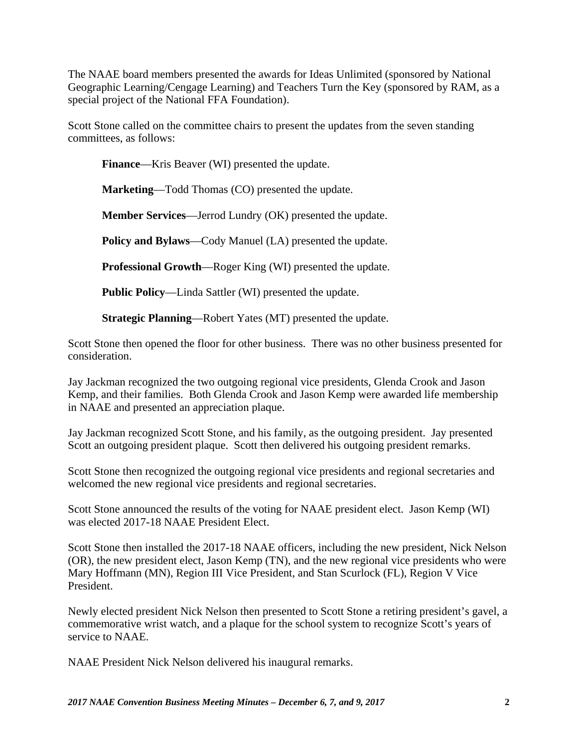The NAAE board members presented the awards for Ideas Unlimited (sponsored by National Geographic Learning/Cengage Learning) and Teachers Turn the Key (sponsored by RAM, as a special project of the National FFA Foundation).

Scott Stone called on the committee chairs to present the updates from the seven standing committees, as follows:

**Finance**—Kris Beaver (WI) presented the update.

**Marketing**—Todd Thomas (CO) presented the update.

**Member Services**—Jerrod Lundry (OK) presented the update.

**Policy and Bylaws**—Cody Manuel (LA) presented the update.

**Professional Growth**—Roger King (WI) presented the update.

**Public Policy**—Linda Sattler (WI) presented the update.

**Strategic Planning**—Robert Yates (MT) presented the update.

Scott Stone then opened the floor for other business. There was no other business presented for consideration.

Jay Jackman recognized the two outgoing regional vice presidents, Glenda Crook and Jason Kemp, and their families. Both Glenda Crook and Jason Kemp were awarded life membership in NAAE and presented an appreciation plaque.

Jay Jackman recognized Scott Stone, and his family, as the outgoing president. Jay presented Scott an outgoing president plaque. Scott then delivered his outgoing president remarks.

Scott Stone then recognized the outgoing regional vice presidents and regional secretaries and welcomed the new regional vice presidents and regional secretaries.

Scott Stone announced the results of the voting for NAAE president elect. Jason Kemp (WI) was elected 2017-18 NAAE President Elect.

Scott Stone then installed the 2017-18 NAAE officers, including the new president, Nick Nelson (OR), the new president elect, Jason Kemp (TN), and the new regional vice presidents who were Mary Hoffmann (MN), Region III Vice President, and Stan Scurlock (FL), Region V Vice President.

Newly elected president Nick Nelson then presented to Scott Stone a retiring president's gavel, a commemorative wrist watch, and a plaque for the school system to recognize Scott's years of service to NAAE.

NAAE President Nick Nelson delivered his inaugural remarks.